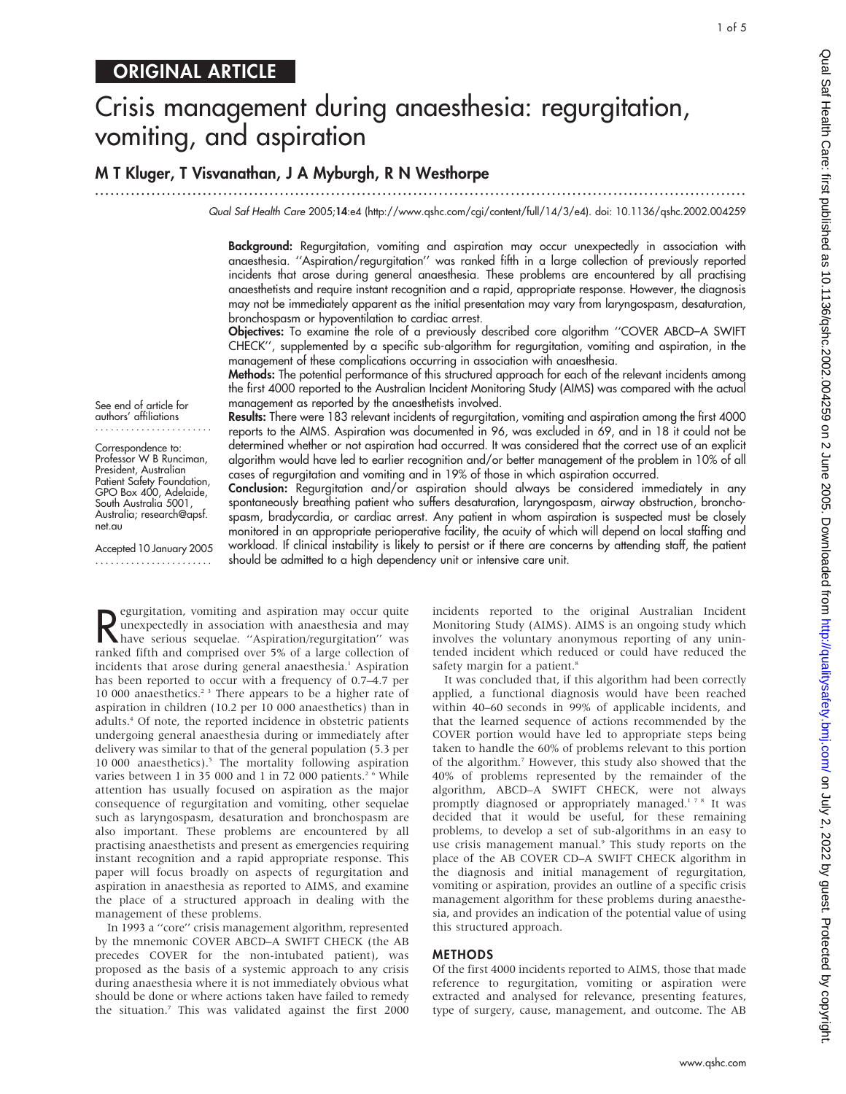# Crisis management during anaesthesia: regurgitation, vomiting, and aspiration

# M T Kluger, T Visvanathan, J A Myburgh, R N Westhorpe

Qual Saf Health Care 2005;14:e4 (http://www.qshc.com/cgi/content/full/14/3/e4). doi: 10.1136/qshc.2002.004259

Background: Regurgitation, vomiting and aspiration may occur unexpectedly in association with anaesthesia. ''Aspiration/regurgitation'' was ranked fifth in a large collection of previously reported incidents that arose during general anaesthesia. These problems are encountered by all practising anaesthetists and require instant recognition and a rapid, appropriate response. However, the diagnosis may not be immediately apparent as the initial presentation may vary from laryngospasm, desaturation, bronchospasm or hypoventilation to cardiac arrest.

Objectives: To examine the role of a previously described core algorithm ''COVER ABCD–A SWIFT CHECK'', supplemented by a specific sub-algorithm for regurgitation, vomiting and aspiration, in the management of these complications occurring in association with anaesthesia.

Methods: The potential performance of this structured approach for each of the relevant incidents among the first 4000 reported to the Australian Incident Monitoring Study (AIMS) was compared with the actual management as reported by the anaesthetists involved.

See end of article for authors' affiliations .......................

Correspondence to: Professor W B Runciman, President, Australian Patient Safety Foundation, GPO Box 400, Adelaide, South Australia 5001, Australia; research@apsf. net.au

Accepted 10 January 2005 .......................

Results: There were 183 relevant incidents of regurgitation, vomiting and aspiration among the first 4000 reports to the AIMS. Aspiration was documented in 96, was excluded in 69, and in 18 it could not be determined whether or not aspiration had occurred. It was considered that the correct use of an explicit algorithm would have led to earlier recognition and/or better management of the problem in 10% of all cases of regurgitation and vomiting and in 19% of those in which aspiration occurred.

Conclusion: Regurgitation and/or aspiration should always be considered immediately in any spontaneously breathing patient who suffers desaturation, laryngospasm, airway obstruction, bronchospasm, bradycardia, or cardiac arrest. Any patient in whom aspiration is suspected must be closely monitored in an appropriate perioperative facility, the acuity of which will depend on local staffing and workload. If clinical instability is likely to persist or if there are concerns by attending staff, the patient should be admitted to a high dependency unit or intensive care unit.

**R** egurgitation, vomiting and aspiration may occur quite<br>
have serious sequelae. "Aspiration/regurgitation" was<br>
ranked fifth and comprised over 5% of a large collection of egurgitation, vomiting and aspiration may occur quite unexpectedly in association with anaesthesia and may ranked fifth and comprised over 5% of a large collection of incidents that arose during general anaesthesia.<sup>1</sup> Aspiration has been reported to occur with a frequency of 0.7–4.7 per 10 000 anaesthetics.<sup>23</sup> There appears to be a higher rate of aspiration in children (10.2 per 10 000 anaesthetics) than in adults.4 Of note, the reported incidence in obstetric patients undergoing general anaesthesia during or immediately after delivery was similar to that of the general population (5.3 per 10 000 anaesthetics).5 The mortality following aspiration varies between 1 in 35 000 and 1 in 72 000 patients.<sup>2 6</sup> While attention has usually focused on aspiration as the major consequence of regurgitation and vomiting, other sequelae such as laryngospasm, desaturation and bronchospasm are also important. These problems are encountered by all practising anaesthetists and present as emergencies requiring instant recognition and a rapid appropriate response. This paper will focus broadly on aspects of regurgitation and aspiration in anaesthesia as reported to AIMS, and examine the place of a structured approach in dealing with the management of these problems.

In 1993 a ''core'' crisis management algorithm, represented by the mnemonic COVER ABCD–A SWIFT CHECK (the AB precedes COVER for the non-intubated patient), was proposed as the basis of a systemic approach to any crisis during anaesthesia where it is not immediately obvious what should be done or where actions taken have failed to remedy the situation.7 This was validated against the first 2000 incidents reported to the original Australian Incident Monitoring Study (AIMS). AIMS is an ongoing study which involves the voluntary anonymous reporting of any unintended incident which reduced or could have reduced the safety margin for a patient.<sup>8</sup>

...............................................................................................................................

It was concluded that, if this algorithm had been correctly applied, a functional diagnosis would have been reached within 40–60 seconds in 99% of applicable incidents, and that the learned sequence of actions recommended by the COVER portion would have led to appropriate steps being taken to handle the 60% of problems relevant to this portion of the algorithm.7 However, this study also showed that the 40% of problems represented by the remainder of the algorithm, ABCD–A SWIFT CHECK, were not always promptly diagnosed or appropriately managed.<sup>178</sup> It was decided that it would be useful, for these remaining problems, to develop a set of sub-algorithms in an easy to use crisis management manual.<sup>9</sup> This study reports on the place of the AB COVER CD–A SWIFT CHECK algorithm in the diagnosis and initial management of regurgitation, vomiting or aspiration, provides an outline of a specific crisis management algorithm for these problems during anaesthesia, and provides an indication of the potential value of using this structured approach.

#### METHODS

Of the first 4000 incidents reported to AIMS, those that made reference to regurgitation, vomiting or aspiration were extracted and analysed for relevance, presenting features, type of surgery, cause, management, and outcome. The AB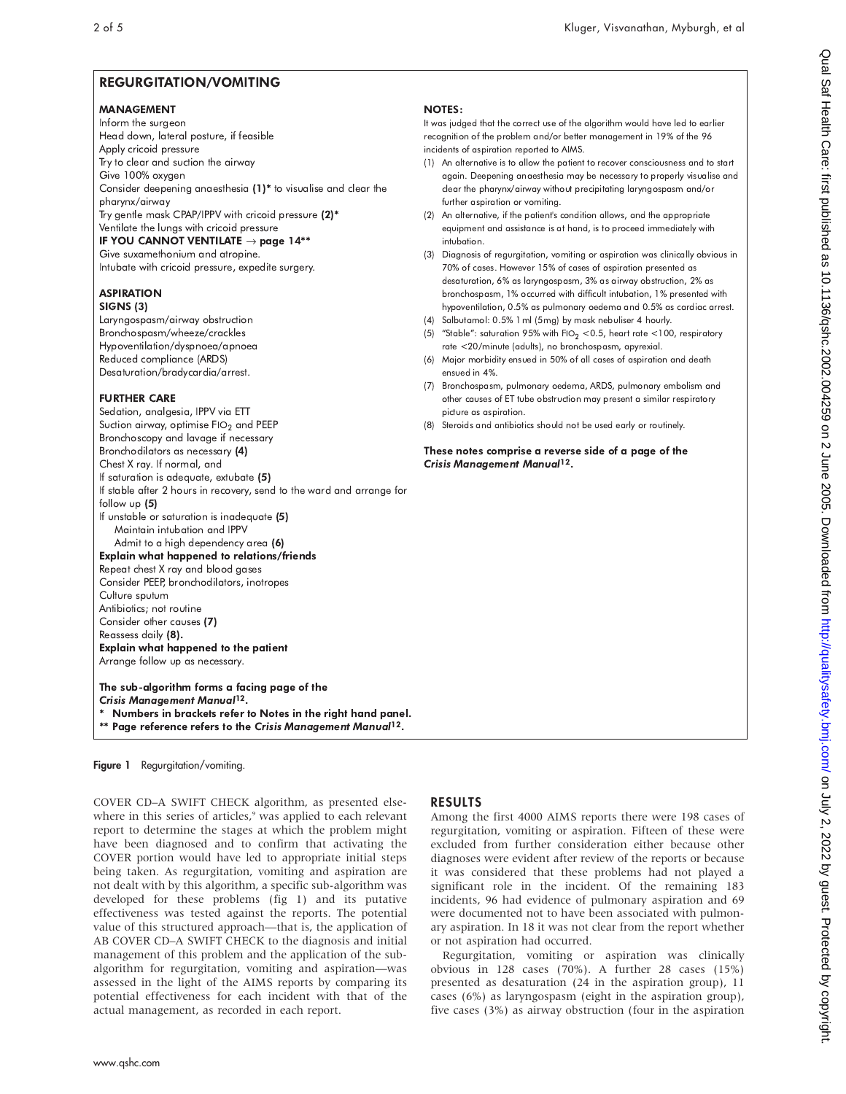# REGURGITATION/VOMITING

#### MANAGEMENT

Inform the surgeon Head down, lateral posture, if feasible Apply cricoid pressure Try to clear and suction the airway Give 100% oxygen Consider deepening anaesthesia (1)\* to visualise and clear the pharynx/airway Try gentle mask CPAP/IPPV with cricoid pressure  $(2)^{\ast}$ Ventilate the lungs with cricoid pressure IF YOU CANNOT VENTILATE  $\rightarrow$  page 14\*\*

Give suxamethonium and atropine. Intubate with cricoid pressure, expedite surgery.

# **ASPIRATION**

SIGNS (3) Laryngospasm/airway obstruction Bronchospasm/wheeze/crackles Hypoventilation/dyspnoea/apnoea Reduced compliance (ARDS) Desaturation/bradycardia/arrest.

### **FURTHER CARE**

Sedation, analgesia, IPPV via ETT Suction airway, optimise FIO $_2$  and PEEP  $\,$ Bronchoscopy and lavage if necessary Bronchodilators as necessary (4) Chest X ray. If normal, and If saturation is adequate, extubate (5) If stable after 2 hours in recovery, send to the ward and arrange for follow up (5) If unstable or saturation is inadequate (5) Maintain intubation and IPPV Admit to a high dependency area (6) Explain what happened to relations/friends Repeat chest X ray and blood gases Consider PEEP, bronchodilators, inotropes Culture sputum Antibiotics; not routine Consider other causes (7) Reassess daily (8). Explain what happened to the patient Arrange follow up as necessary.

The sub-algorithm forms a facing page of the Crisis Management Manual<sup>12</sup>.

- Numbers in brackets refer to Notes in the right hand panel.
- \*\* Page reference refers to the Crisis Management Manual12.

#### Figure 1 Regurgitation/vomiting.

COVER CD–A SWIFT CHECK algorithm, as presented elsewhere in this series of articles,<sup>9</sup> was applied to each relevant report to determine the stages at which the problem might have been diagnosed and to confirm that activating the COVER portion would have led to appropriate initial steps being taken. As regurgitation, vomiting and aspiration are not dealt with by this algorithm, a specific sub-algorithm was developed for these problems (fig 1) and its putative effectiveness was tested against the reports. The potential value of this structured approach—that is, the application of AB COVER CD–A SWIFT CHECK to the diagnosis and initial management of this problem and the application of the subalgorithm for regurgitation, vomiting and aspiration—was assessed in the light of the AIMS reports by comparing its potential effectiveness for each incident with that of the actual management, as recorded in each report.

#### **NOTES:**

It was judged that the correct use of the algorithm would have led to earlier recognition of the problem and/or better management in 19% of the 96 incidents of aspiration reported to AIMS.

- (1) An alternative is to allow the patient to recover consciousness and to start again. Deepening anaesthesia may be necessary to properly visualise and clear the pharynx/airway without precipitating laryngospasm and/or further aspiration or vomiting.
- (2) An alternative, if the patient's condition allows, and the appropriate equipment and assistance is at hand, is to proceed immediately with intubation.
- (3) Diagnosis of regurgitation, vomiting or aspiration was clinically obvious in 70% of cases. However 15% of cases of aspiration presented as desaturation, 6% as laryngospasm, 3% as airway obstruction, 2% as bronchospasm, 1% occurred with difficult intubation, 1% presented with hypoventilation, 0.5% as pulmonary oedema and 0.5% as cardiac arrest.
- (4) Salbutamol: 0.5% 1 ml (5 mg) by mask nebuliser 4 hourly.
- (5) "Stable": saturation 95% with FIO $_2$  <0.5, heart rate <100, respiratory rate <20/minute (adults), no bronchospasm, apyrexial.
- (6) Major morbidity ensued in 50% of all cases of aspiration and death ensued in 4%.
- (7) Bronchospasm, pulmonary oedema, ARDS, pulmonary embolism and other causes of ET tube obstruction may present a similar respiratory picture as aspiration.
- (8) Steroids and antibiotics should not be used early or routinely.

These notes comprise a reverse side of a page of the Crisis Management Manual<sup>12</sup>.

## RESULTS

Among the first 4000 AIMS reports there were 198 cases of regurgitation, vomiting or aspiration. Fifteen of these were excluded from further consideration either because other diagnoses were evident after review of the reports or because it was considered that these problems had not played a significant role in the incident. Of the remaining 183 incidents, 96 had evidence of pulmonary aspiration and 69 were documented not to have been associated with pulmonary aspiration. In 18 it was not clear from the report whether or not aspiration had occurred.

Regurgitation, vomiting or aspiration was clinically obvious in 128 cases (70%). A further 28 cases (15%) presented as desaturation (24 in the aspiration group), 11 cases (6%) as laryngospasm (eight in the aspiration group), five cases (3%) as airway obstruction (four in the aspiration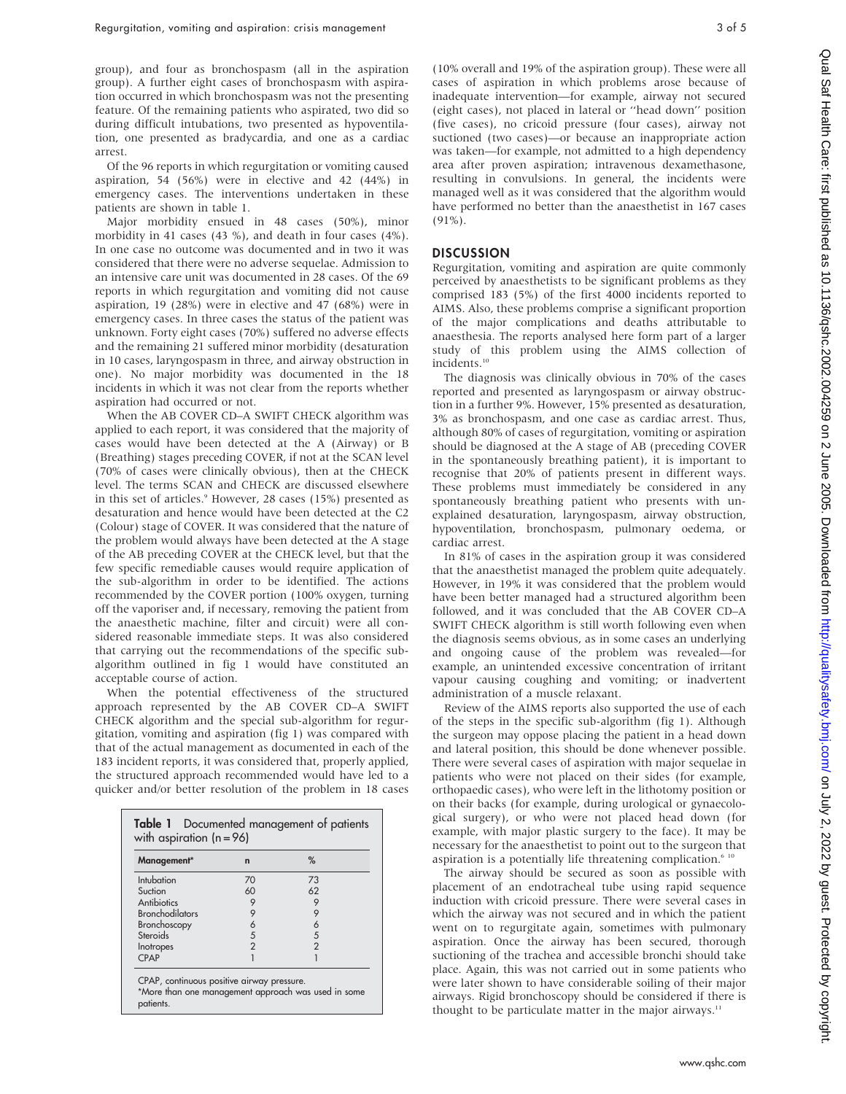group), and four as bronchospasm (all in the aspiration group). A further eight cases of bronchospasm with aspiration occurred in which bronchospasm was not the presenting feature. Of the remaining patients who aspirated, two did so during difficult intubations, two presented as hypoventilation, one presented as bradycardia, and one as a cardiac arrest.

Of the 96 reports in which regurgitation or vomiting caused aspiration, 54 (56%) were in elective and 42 (44%) in emergency cases. The interventions undertaken in these patients are shown in table 1.

Major morbidity ensued in 48 cases (50%), minor morbidity in 41 cases (43 %), and death in four cases (4%). In one case no outcome was documented and in two it was considered that there were no adverse sequelae. Admission to an intensive care unit was documented in 28 cases. Of the 69 reports in which regurgitation and vomiting did not cause aspiration, 19 (28%) were in elective and 47 (68%) were in emergency cases. In three cases the status of the patient was unknown. Forty eight cases (70%) suffered no adverse effects and the remaining 21 suffered minor morbidity (desaturation in 10 cases, laryngospasm in three, and airway obstruction in one). No major morbidity was documented in the 18 incidents in which it was not clear from the reports whether aspiration had occurred or not.

When the AB COVER CD–A SWIFT CHECK algorithm was applied to each report, it was considered that the majority of cases would have been detected at the A (Airway) or B (Breathing) stages preceding COVER, if not at the SCAN level (70% of cases were clinically obvious), then at the CHECK level. The terms SCAN and CHECK are discussed elsewhere in this set of articles.<sup>9</sup> However, 28 cases (15%) presented as desaturation and hence would have been detected at the C2 (Colour) stage of COVER. It was considered that the nature of the problem would always have been detected at the A stage of the AB preceding COVER at the CHECK level, but that the few specific remediable causes would require application of the sub-algorithm in order to be identified. The actions recommended by the COVER portion (100% oxygen, turning off the vaporiser and, if necessary, removing the patient from the anaesthetic machine, filter and circuit) were all considered reasonable immediate steps. It was also considered that carrying out the recommendations of the specific subalgorithm outlined in fig 1 would have constituted an acceptable course of action.

When the potential effectiveness of the structured approach represented by the AB COVER CD–A SWIFT CHECK algorithm and the special sub-algorithm for regurgitation, vomiting and aspiration (fig 1) was compared with that of the actual management as documented in each of the 183 incident reports, it was considered that, properly applied, the structured approach recommended would have led to a quicker and/or better resolution of the problem in 18 cases

| Management*            | $\mathsf{n}$   | %             |  |
|------------------------|----------------|---------------|--|
| Intubation             | 70             | 73            |  |
| Suction                | 60             | 62            |  |
| Antibiotics            | 9              | 9             |  |
| <b>Bronchodilators</b> | 9              | 9             |  |
| Bronchoscopy           | 6              | 6             |  |
| Steroids               | 5              | 5             |  |
| Inotropes              | $\mathfrak{p}$ | $\mathcal{P}$ |  |
| <b>CPAP</b>            |                |               |  |

(10% overall and 19% of the aspiration group). These were all cases of aspiration in which problems arose because of inadequate intervention—for example, airway not secured (eight cases), not placed in lateral or ''head down'' position (five cases), no cricoid pressure (four cases), airway not suctioned (two cases)—or because an inappropriate action was taken—for example, not admitted to a high dependency area after proven aspiration; intravenous dexamethasone, resulting in convulsions. In general, the incidents were managed well as it was considered that the algorithm would have performed no better than the anaesthetist in 167 cases  $(91\%)$ .

#### **DISCUSSION**

Regurgitation, vomiting and aspiration are quite commonly perceived by anaesthetists to be significant problems as they comprised 183 (5%) of the first 4000 incidents reported to AIMS. Also, these problems comprise a significant proportion of the major complications and deaths attributable to anaesthesia. The reports analysed here form part of a larger study of this problem using the AIMS collection of incidents.<sup>10</sup>

The diagnosis was clinically obvious in 70% of the cases reported and presented as laryngospasm or airway obstruction in a further 9%. However, 15% presented as desaturation, 3% as bronchospasm, and one case as cardiac arrest. Thus, although 80% of cases of regurgitation, vomiting or aspiration should be diagnosed at the A stage of AB (preceding COVER in the spontaneously breathing patient), it is important to recognise that 20% of patients present in different ways. These problems must immediately be considered in any spontaneously breathing patient who presents with unexplained desaturation, laryngospasm, airway obstruction, hypoventilation, bronchospasm, pulmonary oedema, or cardiac arrest.

In 81% of cases in the aspiration group it was considered that the anaesthetist managed the problem quite adequately. However, in 19% it was considered that the problem would have been better managed had a structured algorithm been followed, and it was concluded that the AB COVER CD–A SWIFT CHECK algorithm is still worth following even when the diagnosis seems obvious, as in some cases an underlying and ongoing cause of the problem was revealed—for example, an unintended excessive concentration of irritant vapour causing coughing and vomiting; or inadvertent administration of a muscle relaxant.

Review of the AIMS reports also supported the use of each of the steps in the specific sub-algorithm (fig 1). Although the surgeon may oppose placing the patient in a head down and lateral position, this should be done whenever possible. There were several cases of aspiration with major sequelae in patients who were not placed on their sides (for example, orthopaedic cases), who were left in the lithotomy position or on their backs (for example, during urological or gynaecological surgery), or who were not placed head down (for example, with major plastic surgery to the face). It may be necessary for the anaesthetist to point out to the surgeon that aspiration is a potentially life threatening complication. $610$ 

The airway should be secured as soon as possible with placement of an endotracheal tube using rapid sequence induction with cricoid pressure. There were several cases in which the airway was not secured and in which the patient went on to regurgitate again, sometimes with pulmonary aspiration. Once the airway has been secured, thorough suctioning of the trachea and accessible bronchi should take place. Again, this was not carried out in some patients who were later shown to have considerable soiling of their major airways. Rigid bronchoscopy should be considered if there is thought to be particulate matter in the major airways.<sup>11</sup>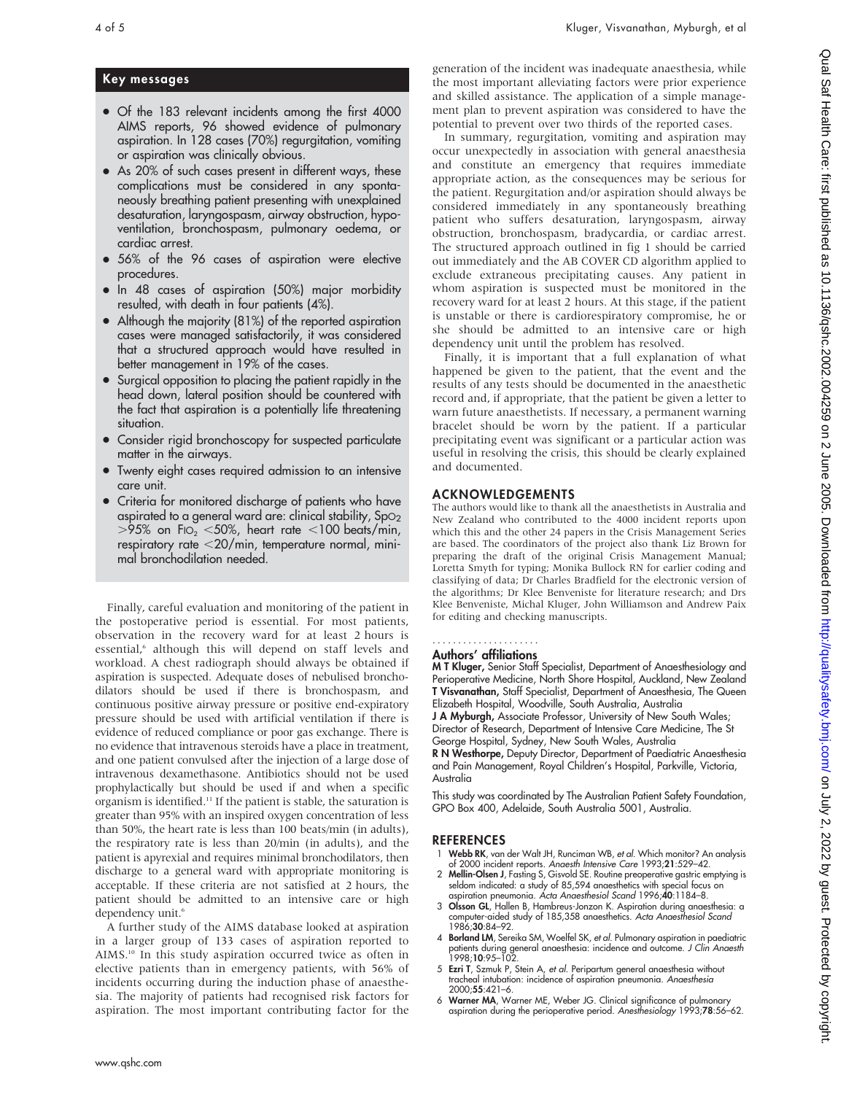#### Key messages

- Of the 183 relevant incidents among the first 4000 AIMS reports, 96 showed evidence of pulmonary aspiration. In 128 cases (70%) regurgitation, vomiting or aspiration was clinically obvious.
- As 20% of such cases present in different ways, these complications must be considered in any spontaneously breathing patient presenting with unexplained desaturation, laryngospasm, airway obstruction, hypoventilation, bronchospasm, pulmonary oedema, or cardiac arrest.
- 56% of the 96 cases of aspiration were elective procedures.
- In 48 cases of aspiration (50%) major morbidity resulted, with death in four patients (4%).
- Although the majority  $(81%)$  of the reported aspiration cases were managed satisfactorily, it was considered that a structured approach would have resulted in better management in 19% of the cases.
- Surgical opposition to placing the patient rapidly in the head down, lateral position should be countered with the fact that aspiration is a potentially life threatening situation.
- Consider rigid bronchoscopy for suspected particulate matter in the airways.
- Twenty eight cases required admission to an intensive care unit.
- Criteria for monitored discharge of patients who have aspirated to a general ward are: clinical stability,  $SpO<sub>2</sub>$  $>$ 95% on FI $O<sub>2</sub>$  <50%, heart rate <100 beats/min, respiratory rate  $<$  20/min, temperature normal, minimal bronchodilation needed.

Finally, careful evaluation and monitoring of the patient in the postoperative period is essential. For most patients, observation in the recovery ward for at least 2 hours is essential,<sup>6</sup> although this will depend on staff levels and workload. A chest radiograph should always be obtained if aspiration is suspected. Adequate doses of nebulised bronchodilators should be used if there is bronchospasm, and continuous positive airway pressure or positive end-expiratory pressure should be used with artificial ventilation if there is evidence of reduced compliance or poor gas exchange. There is no evidence that intravenous steroids have a place in treatment, and one patient convulsed after the injection of a large dose of intravenous dexamethasone. Antibiotics should not be used prophylactically but should be used if and when a specific organism is identified.11 If the patient is stable, the saturation is greater than 95% with an inspired oxygen concentration of less than 50%, the heart rate is less than 100 beats/min (in adults), the respiratory rate is less than 20/min (in adults), and the patient is apyrexial and requires minimal bronchodilators, then discharge to a general ward with appropriate monitoring is acceptable. If these criteria are not satisfied at 2 hours, the patient should be admitted to an intensive care or high dependency unit.<sup>6</sup>

A further study of the AIMS database looked at aspiration in a larger group of 133 cases of aspiration reported to AIMS.<sup>10</sup> In this study aspiration occurred twice as often in elective patients than in emergency patients, with 56% of incidents occurring during the induction phase of anaesthesia. The majority of patients had recognised risk factors for aspiration. The most important contributing factor for the generation of the incident was inadequate anaesthesia, while the most important alleviating factors were prior experience and skilled assistance. The application of a simple management plan to prevent aspiration was considered to have the potential to prevent over two thirds of the reported cases.

In summary, regurgitation, vomiting and aspiration may occur unexpectedly in association with general anaesthesia and constitute an emergency that requires immediate appropriate action, as the consequences may be serious for the patient. Regurgitation and/or aspiration should always be considered immediately in any spontaneously breathing patient who suffers desaturation, laryngospasm, airway obstruction, bronchospasm, bradycardia, or cardiac arrest. The structured approach outlined in fig 1 should be carried out immediately and the AB COVER CD algorithm applied to exclude extraneous precipitating causes. Any patient in whom aspiration is suspected must be monitored in the recovery ward for at least 2 hours. At this stage, if the patient is unstable or there is cardiorespiratory compromise, he or she should be admitted to an intensive care or high dependency unit until the problem has resolved.

Finally, it is important that a full explanation of what happened be given to the patient, that the event and the results of any tests should be documented in the anaesthetic record and, if appropriate, that the patient be given a letter to warn future anaesthetists. If necessary, a permanent warning bracelet should be worn by the patient. If a particular precipitating event was significant or a particular action was useful in resolving the crisis, this should be clearly explained and documented.

#### ACKNOWLEDGEMENTS

The authors would like to thank all the anaesthetists in Australia and New Zealand who contributed to the 4000 incident reports upon which this and the other 24 papers in the Crisis Management Series are based. The coordinators of the project also thank Liz Brown for preparing the draft of the original Crisis Management Manual; Loretta Smyth for typing; Monika Bullock RN for earlier coding and classifying of data; Dr Charles Bradfield for the electronic version of the algorithms; Dr Klee Benveniste for literature research; and Drs Klee Benveniste, Michal Kluger, John Williamson and Andrew Paix for editing and checking manuscripts.

#### Authors' affiliations .....................

M T Kluger, Senior Staff Specialist, Department of Anaesthesiology and Perioperative Medicine, North Shore Hospital, Auckland, New Zealand T Visvanathan, Staff Specialist, Department of Anaesthesia, The Queen Elizabeth Hospital, Woodville, South Australia, Australia

J A Myburgh, Associate Professor, University of New South Wales; Director of Research, Department of Intensive Care Medicine, The St George Hospital, Sydney, New South Wales, Australia

R N Westhorpe, Deputy Director, Department of Paediatric Anaesthesia and Pain Management, Royal Children's Hospital, Parkville, Victoria, Australia

This study was coordinated by The Australian Patient Safety Foundation, GPO Box 400, Adelaide, South Australia 5001, Australia.

#### **REFERENCES**

- 1 Webb RK, van der Walt JH, Runciman WB, et al. Which monitor? An analysis of 2000 incident reports. Anaesth Intensive Care 1993;21:529–42.
- 2 Mellin-Olsen J, Fasting S, Gisvold SE. Routine preoperative gastric emptying is seldom indicated: a study of 85,594 anaesthetics with special focus on aspiration pneumonia. Acta Anaesthesiol Scand 1996;40:1184–8.
- 3 Olsson GL, Hallen B, Hambreus-Jonzon K. Aspiration during anaesthesia: a computer-aided study of 185,358 anaesthetics. Acta Anaesthesiol Scand 1986;30:84–92.
- 4 **Borland LM**, Sereika SM, Woelfel SK, et al. Pulmonary aspiration in paediatric patients during general anaesthesia: incidence and outcome. J Clin Anaesth  $1998:10:95 - 102$
- 5 Ezri T, Szmuk P, Stein A, et al. Peripartum general anaesthesia without tracheal intubation: incidence of aspiration pneumonia. Anaesthesia 2000;55:421–6.
- 6 Warner MA, Warner ME, Weber JG. Clinical significance of pulmonary aspiration during the perioperative period. Anesthesiology 1993;78:56–62.